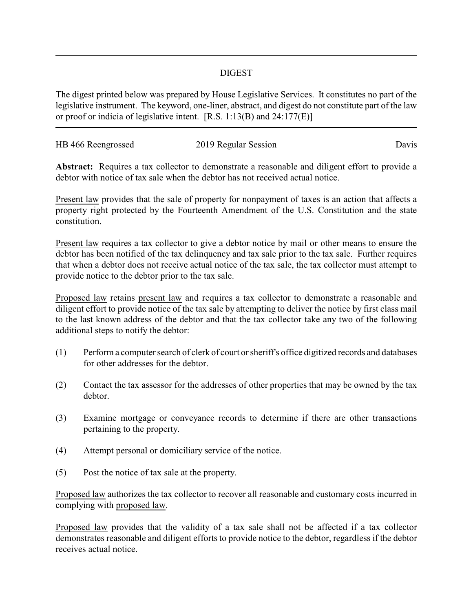## DIGEST

The digest printed below was prepared by House Legislative Services. It constitutes no part of the legislative instrument. The keyword, one-liner, abstract, and digest do not constitute part of the law or proof or indicia of legislative intent. [R.S. 1:13(B) and 24:177(E)]

| HB 466 Reengrossed | 2019 Regular Session | Davis |
|--------------------|----------------------|-------|
|                    |                      |       |

**Abstract:** Requires a tax collector to demonstrate a reasonable and diligent effort to provide a debtor with notice of tax sale when the debtor has not received actual notice.

Present law provides that the sale of property for nonpayment of taxes is an action that affects a property right protected by the Fourteenth Amendment of the U.S. Constitution and the state constitution.

Present law requires a tax collector to give a debtor notice by mail or other means to ensure the debtor has been notified of the tax delinquency and tax sale prior to the tax sale. Further requires that when a debtor does not receive actual notice of the tax sale, the tax collector must attempt to provide notice to the debtor prior to the tax sale.

Proposed law retains present law and requires a tax collector to demonstrate a reasonable and diligent effort to provide notice of the tax sale by attempting to deliver the notice by first class mail to the last known address of the debtor and that the tax collector take any two of the following additional steps to notify the debtor:

- (1) Perform a computer search of clerk of court or sheriff's office digitized records and databases for other addresses for the debtor.
- (2) Contact the tax assessor for the addresses of other properties that may be owned by the tax debtor.
- (3) Examine mortgage or conveyance records to determine if there are other transactions pertaining to the property.
- (4) Attempt personal or domiciliary service of the notice.
- (5) Post the notice of tax sale at the property.

Proposed law authorizes the tax collector to recover all reasonable and customary costs incurred in complying with proposed law.

Proposed law provides that the validity of a tax sale shall not be affected if a tax collector demonstrates reasonable and diligent efforts to provide notice to the debtor, regardless if the debtor receives actual notice.